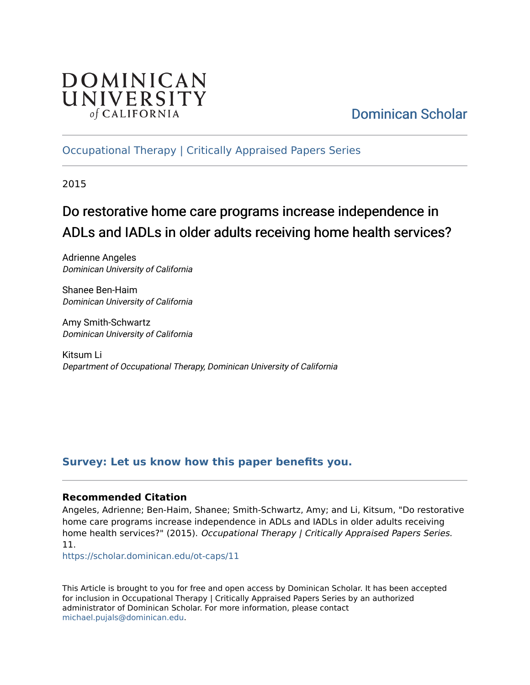

# [Dominican Scholar](https://scholar.dominican.edu/)

### [Occupational Therapy | Critically Appraised Papers Series](https://scholar.dominican.edu/ot-caps)

2015

# Do restorative home care programs increase independence in ADLs and IADLs in older adults receiving home health services?

Adrienne Angeles Dominican University of California

Shanee Ben-Haim Dominican University of California

Amy Smith-Schwartz Dominican University of California

Kitsum Li Department of Occupational Therapy, Dominican University of California

### **[Survey: Let us know how this paper benefits you.](https://dominican.libwizard.com/dominican-scholar-feedback)**

#### **Recommended Citation**

Angeles, Adrienne; Ben-Haim, Shanee; Smith-Schwartz, Amy; and Li, Kitsum, "Do restorative home care programs increase independence in ADLs and IADLs in older adults receiving home health services?" (2015). Occupational Therapy | Critically Appraised Papers Series. 11.

[https://scholar.dominican.edu/ot-caps/11](https://scholar.dominican.edu/ot-caps/11?utm_source=scholar.dominican.edu%2Fot-caps%2F11&utm_medium=PDF&utm_campaign=PDFCoverPages) 

This Article is brought to you for free and open access by Dominican Scholar. It has been accepted for inclusion in Occupational Therapy | Critically Appraised Papers Series by an authorized administrator of Dominican Scholar. For more information, please contact [michael.pujals@dominican.edu.](mailto:michael.pujals@dominican.edu)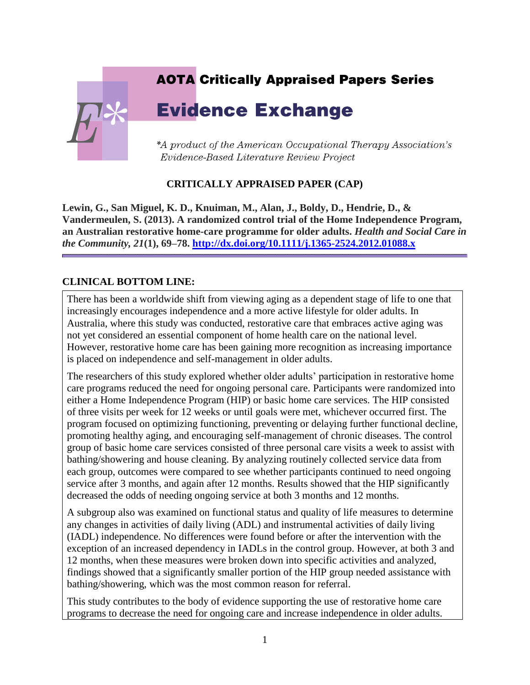# **AOTA Critically Appraised Papers Series**

# **Evidence Exchange**



\*A product of the American Occupational Therapy Association's Evidence-Based Literature Review Project

### **CRITICALLY APPRAISED PAPER (CAP)**

**Lewin, G., San Miguel, K. D., Knuiman, M., Alan, J., Boldy, D., Hendrie, D., & Vandermeulen, S. (2013). A randomized control trial of the Home Independence Program, an Australian restorative home-care programme for older adults.** *Health and Social Care in the Community, 21***(1), 69–78.<http://dx.doi.org/10.1111/j.1365-2524.2012.01088.x>**

### **CLINICAL BOTTOM LINE:**

There has been a worldwide shift from viewing aging as a dependent stage of life to one that increasingly encourages independence and a more active lifestyle for older adults. In Australia, where this study was conducted, restorative care that embraces active aging was not yet considered an essential component of home health care on the national level. However, restorative home care has been gaining more recognition as increasing importance is placed on independence and self-management in older adults.

The researchers of this study explored whether older adults' participation in restorative home care programs reduced the need for ongoing personal care. Participants were randomized into either a Home Independence Program (HIP) or basic home care services. The HIP consisted of three visits per week for 12 weeks or until goals were met, whichever occurred first. The program focused on optimizing functioning, preventing or delaying further functional decline, promoting healthy aging, and encouraging self-management of chronic diseases. The control group of basic home care services consisted of three personal care visits a week to assist with bathing/showering and house cleaning. By analyzing routinely collected service data from each group, outcomes were compared to see whether participants continued to need ongoing service after 3 months, and again after 12 months. Results showed that the HIP significantly decreased the odds of needing ongoing service at both 3 months and 12 months.

A subgroup also was examined on functional status and quality of life measures to determine any changes in activities of daily living (ADL) and instrumental activities of daily living (IADL) independence. No differences were found before or after the intervention with the exception of an increased dependency in IADLs in the control group. However, at both 3 and 12 months, when these measures were broken down into specific activities and analyzed, findings showed that a significantly smaller portion of the HIP group needed assistance with bathing/showering, which was the most common reason for referral.

This study contributes to the body of evidence supporting the use of restorative home care programs to decrease the need for ongoing care and increase independence in older adults.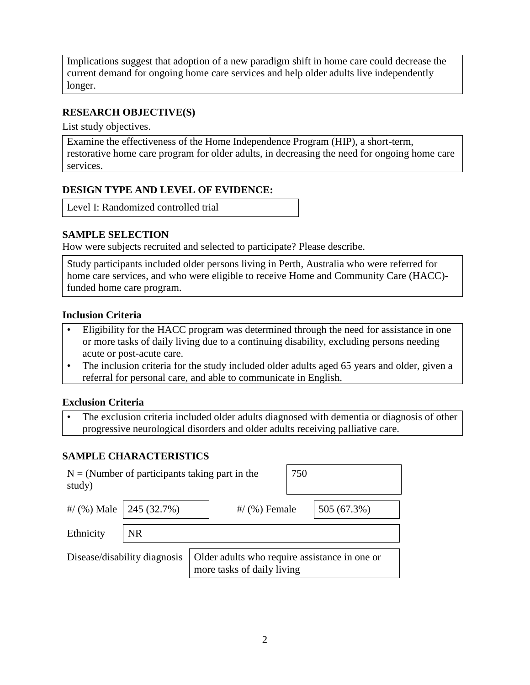Implications suggest that adoption of a new paradigm shift in home care could decrease the current demand for ongoing home care services and help older adults live independently longer.

### **RESEARCH OBJECTIVE(S)**

List study objectives.

Examine the effectiveness of the Home Independence Program (HIP), a short-term, restorative home care program for older adults, in decreasing the need for ongoing home care services.

#### **DESIGN TYPE AND LEVEL OF EVIDENCE:**

Level I: Randomized controlled trial

#### **SAMPLE SELECTION**

How were subjects recruited and selected to participate? Please describe.

Study participants included older persons living in Perth, Australia who were referred for home care services, and who were eligible to receive Home and Community Care (HACC) funded home care program.

#### **Inclusion Criteria**

- Eligibility for the HACC program was determined through the need for assistance in one or more tasks of daily living due to a continuing disability, excluding persons needing acute or post-acute care.
- The inclusion criteria for the study included older adults aged 65 years and older, given a referral for personal care, and able to communicate in English.

#### **Exclusion Criteria**

• The exclusion criteria included older adults diagnosed with dementia or diagnosis of other progressive neurological disorders and older adults receiving palliative care.

### **SAMPLE CHARACTERISTICS**

| $N = (Number of participants taking part in the)$<br>study) |                               |                                                                             | 750             |  |             |
|-------------------------------------------------------------|-------------------------------|-----------------------------------------------------------------------------|-----------------|--|-------------|
|                                                             | #/ $(%)$ Male   245 $(32.7%)$ |                                                                             | $\#$ (%) Female |  | 505 (67.3%) |
| Ethnicity                                                   | <b>NR</b>                     |                                                                             |                 |  |             |
| Disease/disability diagnosis                                |                               | Older adults who require assistance in one or<br>more tasks of daily living |                 |  |             |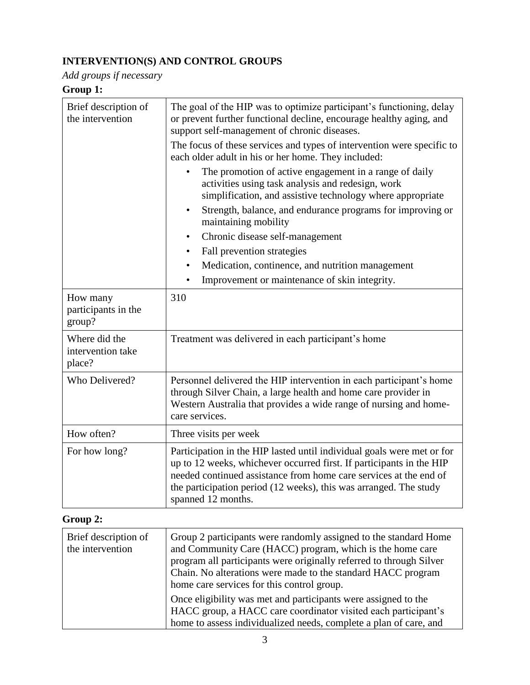## **INTERVENTION(S) AND CONTROL GROUPS**

*Add groups if necessary*

## **Group 1:**

| Brief description of<br>the intervention     | The goal of the HIP was to optimize participant's functioning, delay<br>or prevent further functional decline, encourage healthy aging, and<br>support self-management of chronic diseases.<br>The focus of these services and types of intervention were specific to<br>each older adult in his or her home. They included:<br>The promotion of active engagement in a range of daily<br>activities using task analysis and redesign, work<br>simplification, and assistive technology where appropriate<br>Strength, balance, and endurance programs for improving or<br>$\bullet$<br>maintaining mobility<br>Chronic disease self-management<br>$\bullet$<br>Fall prevention strategies<br>$\bullet$<br>Medication, continence, and nutrition management<br>$\bullet$<br>Improvement or maintenance of skin integrity.<br>$\bullet$ |  |
|----------------------------------------------|----------------------------------------------------------------------------------------------------------------------------------------------------------------------------------------------------------------------------------------------------------------------------------------------------------------------------------------------------------------------------------------------------------------------------------------------------------------------------------------------------------------------------------------------------------------------------------------------------------------------------------------------------------------------------------------------------------------------------------------------------------------------------------------------------------------------------------------|--|
| How many<br>participants in the<br>group?    | 310                                                                                                                                                                                                                                                                                                                                                                                                                                                                                                                                                                                                                                                                                                                                                                                                                                    |  |
| Where did the<br>intervention take<br>place? | Treatment was delivered in each participant's home                                                                                                                                                                                                                                                                                                                                                                                                                                                                                                                                                                                                                                                                                                                                                                                     |  |
| Who Delivered?                               | Personnel delivered the HIP intervention in each participant's home<br>through Silver Chain, a large health and home care provider in<br>Western Australia that provides a wide range of nursing and home-<br>care services.                                                                                                                                                                                                                                                                                                                                                                                                                                                                                                                                                                                                           |  |
| How often?                                   | Three visits per week                                                                                                                                                                                                                                                                                                                                                                                                                                                                                                                                                                                                                                                                                                                                                                                                                  |  |
| For how long?                                | Participation in the HIP lasted until individual goals were met or for<br>up to 12 weeks, whichever occurred first. If participants in the HIP<br>needed continued assistance from home care services at the end of<br>the participation period (12 weeks), this was arranged. The study<br>spanned 12 months.                                                                                                                                                                                                                                                                                                                                                                                                                                                                                                                         |  |

# **Group 2:**

| Brief description of<br>the intervention | Group 2 participants were randomly assigned to the standard Home<br>and Community Care (HACC) program, which is the home care<br>program all participants were originally referred to through Silver<br>Chain. No alterations were made to the standard HACC program<br>home care services for this control group. |
|------------------------------------------|--------------------------------------------------------------------------------------------------------------------------------------------------------------------------------------------------------------------------------------------------------------------------------------------------------------------|
|                                          | Once eligibility was met and participants were assigned to the<br>HACC group, a HACC care coordinator visited each participant's<br>home to assess individualized needs, complete a plan of care, and                                                                                                              |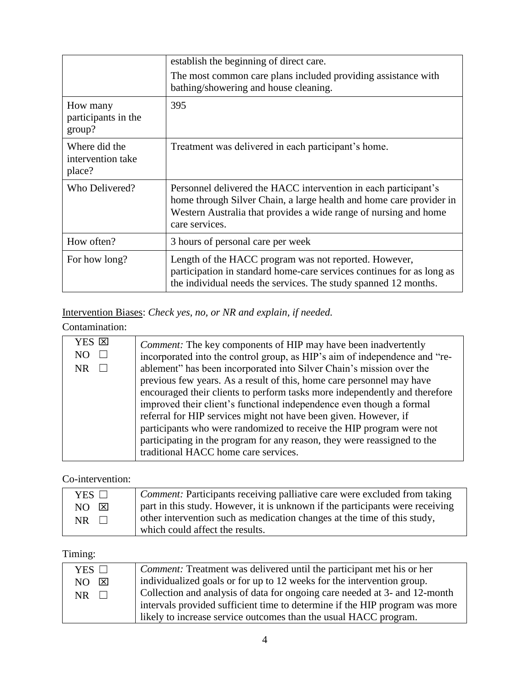|                                              | establish the beginning of direct care.                                                                                                                                                                                      |
|----------------------------------------------|------------------------------------------------------------------------------------------------------------------------------------------------------------------------------------------------------------------------------|
|                                              | The most common care plans included providing assistance with<br>bathing/showering and house cleaning.                                                                                                                       |
| How many<br>participants in the<br>group?    | 395                                                                                                                                                                                                                          |
| Where did the<br>intervention take<br>place? | Treatment was delivered in each participant's home.                                                                                                                                                                          |
| Who Delivered?                               | Personnel delivered the HACC intervention in each participant's<br>home through Silver Chain, a large health and home care provider in<br>Western Australia that provides a wide range of nursing and home<br>care services. |
| How often?                                   | 3 hours of personal care per week                                                                                                                                                                                            |
| For how long?                                | Length of the HACC program was not reported. However,<br>participation in standard home-care services continues for as long as<br>the individual needs the services. The study spanned 12 months.                            |

## Intervention Biases: *Check yes, no, or NR and explain, if needed.*

### Contamination:

| YES <sub>[X]</sub> | <i>Comment:</i> The key components of HIP may have been inadvertently      |
|--------------------|----------------------------------------------------------------------------|
| NO.                | incorporated into the control group, as HIP's aim of independence and "re- |
| NR                 | ablement" has been incorporated into Silver Chain's mission over the       |
|                    | previous few years. As a result of this, home care personnel may have      |
|                    | encouraged their clients to perform tasks more independently and therefore |
|                    | improved their client's functional independence even though a formal       |
|                    | referral for HIP services might not have been given. However, if           |
|                    | participants who were randomized to receive the HIP program were not       |
|                    | participating in the program for any reason, they were reassigned to the   |
|                    | traditional HACC home care services.                                       |
|                    |                                                                            |

### Co-intervention:

| YES $\Box$ | <i>Comment:</i> Participants receiving palliative care were excluded from taking |
|------------|----------------------------------------------------------------------------------|
| NO X       | part in this study. However, it is unknown if the participants were receiving    |
| $NR$       | other intervention such as medication changes at the time of this study,         |
|            | which could affect the results.                                                  |

# Timing:

| YES $\Box$ | <i>Comment:</i> Treatment was delivered until the participant met his or her |
|------------|------------------------------------------------------------------------------|
| NO.<br>⊠   | individualized goals or for up to 12 weeks for the intervention group.       |
| NR.        | Collection and analysis of data for ongoing care needed at 3- and 12-month   |
|            | intervals provided sufficient time to determine if the HIP program was more  |
|            | likely to increase service outcomes than the usual HACC program.             |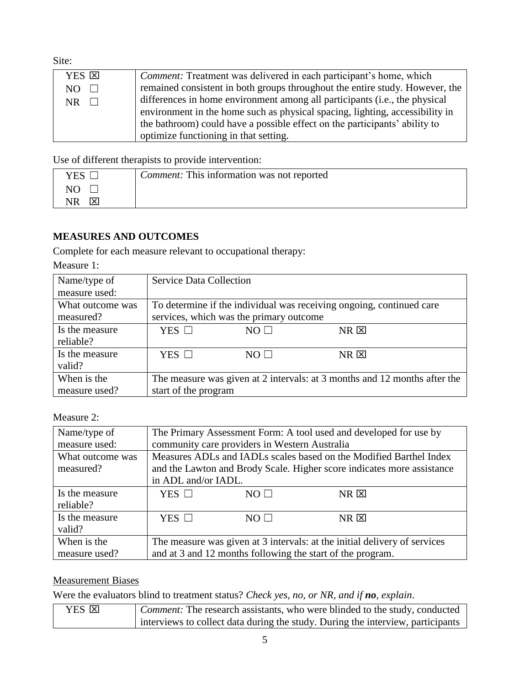Site:

| YES <b>E</b> | <i>Comment:</i> Treatment was delivered in each participant's home, which    |
|--------------|------------------------------------------------------------------------------|
|              |                                                                              |
| $NO$ $\Box$  | remained consistent in both groups throughout the entire study. However, the |
| NR 1         | differences in home environment among all participants (i.e., the physical   |
|              | environment in the home such as physical spacing, lighting, accessibility in |
|              | the bathroom) could have a possible effect on the participants' ability to   |
|              | optimize functioning in that setting.                                        |

Use of different therapists to provide intervention:

| YES | <i>Comment:</i> This information was not reported |
|-----|---------------------------------------------------|
|     |                                                   |
| Ι×  |                                                   |

### **MEASURES AND OUTCOMES**

Complete for each measure relevant to occupational therapy:

Measure 1:

| Name/type of     | <b>Service Data Collection</b> |                                         |                                                                           |  |
|------------------|--------------------------------|-----------------------------------------|---------------------------------------------------------------------------|--|
| measure used:    |                                |                                         |                                                                           |  |
| What outcome was |                                |                                         | To determine if the individual was receiving ongoing, continued care      |  |
| measured?        |                                | services, which was the primary outcome |                                                                           |  |
| Is the measure   | YES $\Box$                     | $NO$ $\Box$                             | $NR \boxtimes$                                                            |  |
| reliable?        |                                |                                         |                                                                           |  |
| Is the measure   | YES $\Box$                     | $NO$ $\square$                          | $NR$ $\Sigma$                                                             |  |
| valid?           |                                |                                         |                                                                           |  |
| When is the      |                                |                                         | The measure was given at 2 intervals: at 3 months and 12 months after the |  |
| measure used?    | start of the program           |                                         |                                                                           |  |

Measure 2:

| Name/type of<br>measure used: | The Primary Assessment Form: A tool used and developed for use by<br>community care providers in Western Australia                                                  |            |               |
|-------------------------------|---------------------------------------------------------------------------------------------------------------------------------------------------------------------|------------|---------------|
| What outcome was<br>measured? | Measures ADLs and IADLs scales based on the Modified Barthel Index<br>and the Lawton and Brody Scale. Higher score indicates more assistance<br>in ADL and/or IADL. |            |               |
| Is the measure<br>reliable?   | YES $\Box$                                                                                                                                                          | $NO \perp$ | $NR$ $\Sigma$ |
| Is the measure<br>valid?      | YES $\Box$                                                                                                                                                          | $NO \Box$  | $NR$ $\Sigma$ |
| When is the<br>measure used?  | The measure was given at 3 intervals: at the initial delivery of services<br>and at 3 and 12 months following the start of the program.                             |            |               |

### Measurement Biases

Were the evaluators blind to treatment status? *Check yes, no, or NR, and if no, explain*.

| YES <b>E</b> | <i>Comment:</i> The research assistants, who were blinded to the study, conducted |
|--------------|-----------------------------------------------------------------------------------|
|              | interviews to collect data during the study. During the interview, participants   |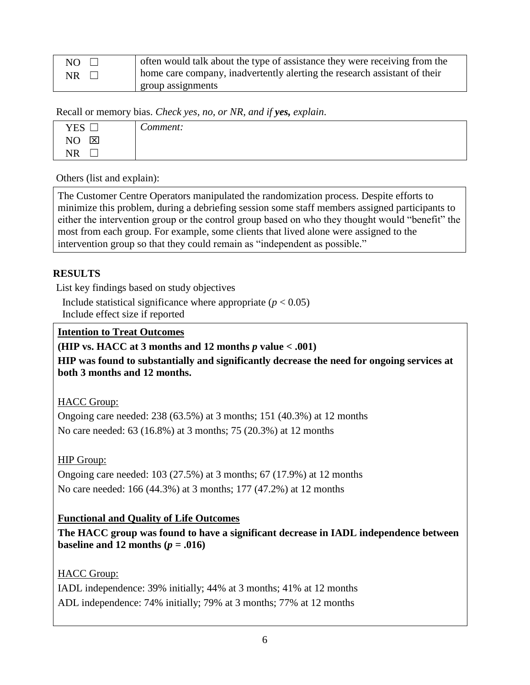| NO 1      | often would talk about the type of assistance they were receiving from the |
|-----------|----------------------------------------------------------------------------|
| <b>NR</b> | home care company, inadvertently alerting the research assistant of their  |
|           | group assignments                                                          |

Recall or memory bias. *Check yes, no, or NR, and if yes, explain*.

| <b>YES</b><br>ىسا                         | $\sim$<br>Comment: |
|-------------------------------------------|--------------------|
| $\mathbf{\overline{X}}$<br>N <sub>O</sub> |                    |
| NR.                                       |                    |

Others (list and explain):

The Customer Centre Operators manipulated the randomization process. Despite efforts to minimize this problem, during a debriefing session some staff members assigned participants to either the intervention group or the control group based on who they thought would "benefit" the most from each group. For example, some clients that lived alone were assigned to the intervention group so that they could remain as "independent as possible."

### **RESULTS**

List key findings based on study objectives

Include statistical significance where appropriate  $(p < 0.05)$ Include effect size if reported

### **Intention to Treat Outcomes**

### **(HIP vs. HACC at 3 months and 12 months** *p* **value < .001)**

**HIP was found to substantially and significantly decrease the need for ongoing services at both 3 months and 12 months.**

HACC Group:

Ongoing care needed: 238 (63.5%) at 3 months; 151 (40.3%) at 12 months No care needed: 63 (16.8%) at 3 months; 75 (20.3%) at 12 months

### HIP Group:

Ongoing care needed: 103 (27.5%) at 3 months; 67 (17.9%) at 12 months No care needed: 166 (44.3%) at 3 months; 177 (47.2%) at 12 months

### **Functional and Quality of Life Outcomes**

**The HACC group was found to have a significant decrease in IADL independence between baseline and 12 months**  $(p = .016)$ 

### HACC Group:

IADL independence: 39% initially; 44% at 3 months; 41% at 12 months ADL independence: 74% initially; 79% at 3 months; 77% at 12 months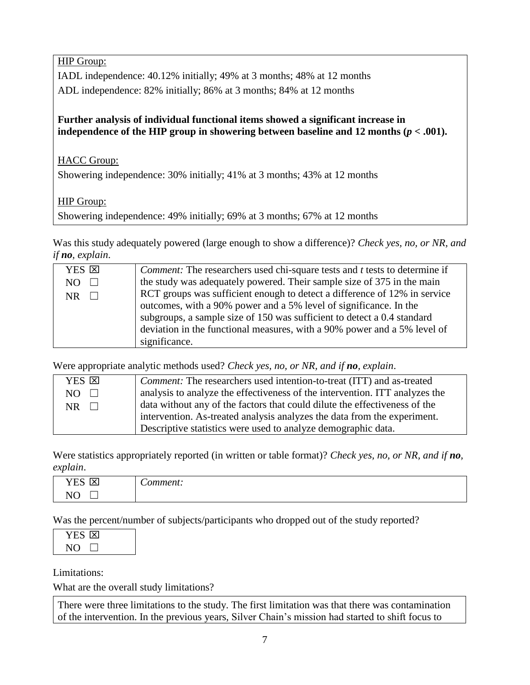HIP Group:

IADL independence: 40.12% initially; 49% at 3 months; 48% at 12 months ADL independence: 82% initially; 86% at 3 months; 84% at 12 months

### **Further analysis of individual functional items showed a significant increase in independence of the HIP group in showering between baseline and 12 months**  $(p < .001)$ **.**

HACC Group:

Showering independence: 30% initially; 41% at 3 months; 43% at 12 months

HIP Group:

Showering independence: 49% initially; 69% at 3 months; 67% at 12 months

Was this study adequately powered (large enough to show a difference)? *Check yes, no, or NR, and if no, explain*.

| YES <b>E</b> | <i>Comment:</i> The researchers used chi-square tests and <i>t</i> tests to determine if |
|--------------|------------------------------------------------------------------------------------------|
| NO.          | the study was adequately powered. Their sample size of 375 in the main                   |
| <b>NR</b>    | RCT groups was sufficient enough to detect a difference of 12% in service                |
|              | outcomes, with a 90% power and a 5% level of significance. In the                        |
|              | subgroups, a sample size of 150 was sufficient to detect a 0.4 standard                  |
|              | deviation in the functional measures, with a 90% power and a 5% level of                 |
|              | significance.                                                                            |

Were appropriate analytic methods used? *Check yes, no, or NR, and if no, explain*.

| YES <b>E</b>   | <i>Comment:</i> The researchers used intention-to-treat (ITT) and as-treated |
|----------------|------------------------------------------------------------------------------|
| NO -<br>$\Box$ | analysis to analyze the effectiveness of the intervention. ITT analyzes the  |
| NR.            | data without any of the factors that could dilute the effectiveness of the   |
|                | intervention. As-treated analysis analyzes the data from the experiment.     |
|                | Descriptive statistics were used to analyze demographic data.                |

Were statistics appropriately reported (in written or table format)? *Check yes, no, or NR, and if no, explain*.

| $T/T$ $\alpha$                | $\overline{\phantom{0}}$ |
|-------------------------------|--------------------------|
| ⊶                             | <b>3344344</b>           |
| ⌒                             | $-21$                    |
| $\overline{\phantom{a}}$      | ,,                       |
| * <del>*</del>                | .                        |
|                               | .                        |
| $\sim$ $\sim$<br>'N<br>-<br>- |                          |

Was the percent/number of subjects/participants who dropped out of the study reported?

| YES 1×1 |  |
|---------|--|
| NO.     |  |

Limitations:

What are the overall study limitations?

There were three limitations to the study. The first limitation was that there was contamination of the intervention. In the previous years, Silver Chain's mission had started to shift focus to